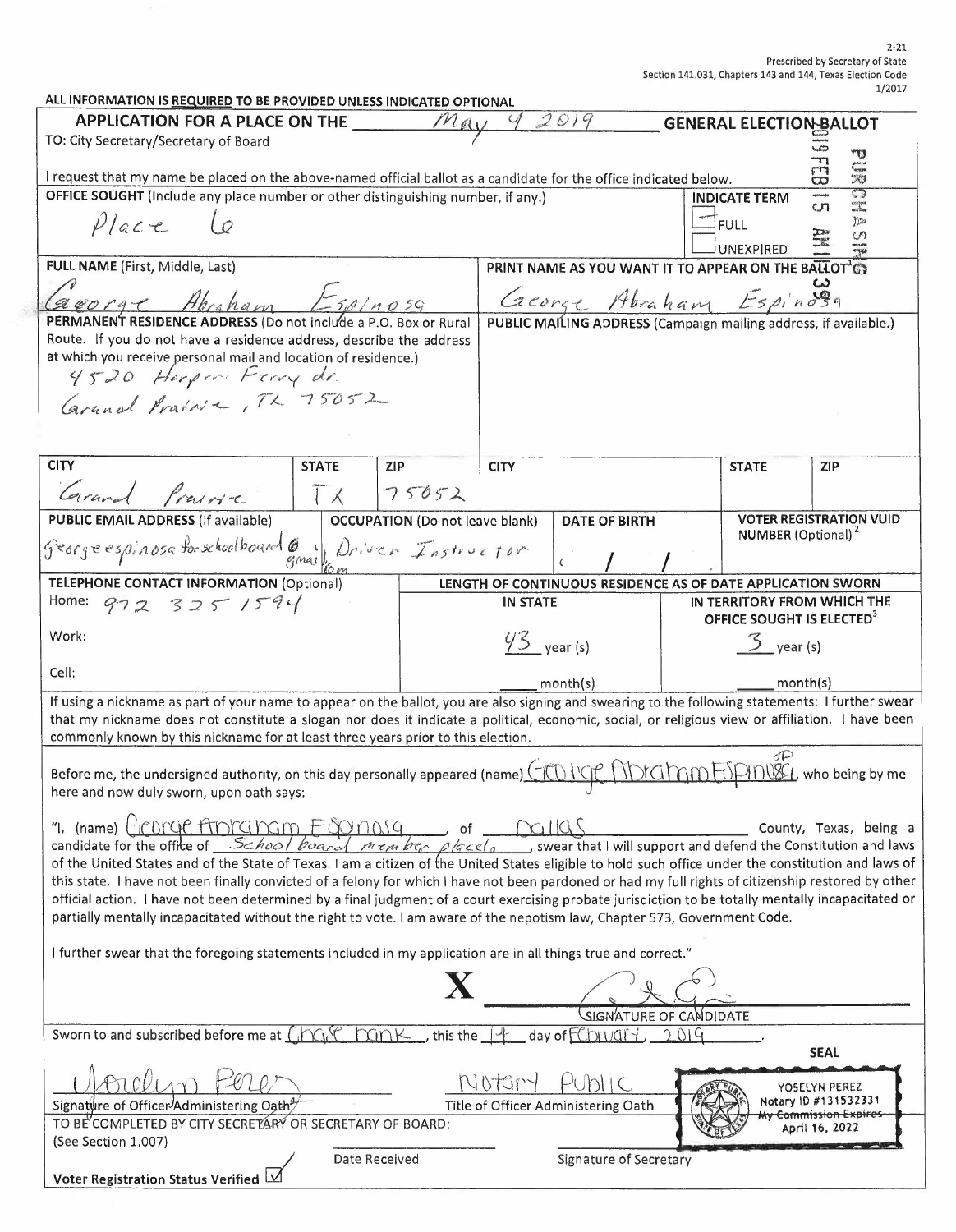| ALL INFORMATION IS REQUIRED TO BE PROVIDED UNLESS INDICATED OPTIONAL                                                                                                                                                                                                                                       |              |                                        |                       |                                                                                                   |      |                                       |                                       |
|------------------------------------------------------------------------------------------------------------------------------------------------------------------------------------------------------------------------------------------------------------------------------------------------------------|--------------|----------------------------------------|-----------------------|---------------------------------------------------------------------------------------------------|------|---------------------------------------|---------------------------------------|
| 2019<br><b>APPLICATION FOR A PLACE ON THE</b><br>May<br><b>GENERAL ELECTION BALLOT</b>                                                                                                                                                                                                                     |              |                                        |                       |                                                                                                   |      |                                       |                                       |
| TO: City Secretary/Secretary of Board                                                                                                                                                                                                                                                                      |              |                                        |                       |                                                                                                   |      |                                       |                                       |
| I request that my name be placed on the above-named official ballot as a candidate for the office indicated below.                                                                                                                                                                                         |              |                                        |                       |                                                                                                   |      |                                       | ซ<br>Cur<br>RI<br>rn<br>CO            |
| OFFICE SOUGHT (Include any place number or other distinguishing number, if any.)                                                                                                                                                                                                                           |              |                                        |                       |                                                                                                   |      | <b>INDICATE TERM</b>                  | $\mathbb{C}$<br>cn                    |
| Place                                                                                                                                                                                                                                                                                                      |              |                                        |                       |                                                                                                   |      | <b>FULL</b><br>UNEXPIRED              | $\sum_{i=1}^{n}$                      |
| FULL NAME (First, Middle, Last)                                                                                                                                                                                                                                                                            |              |                                        |                       | PRINT NAME AS YOU WANT IT TO APPEAR ON THE BALLOT'S                                               |      |                                       |                                       |
|                                                                                                                                                                                                                                                                                                            |              |                                        |                       |                                                                                                   |      |                                       |                                       |
| george Abraham Espinosa                                                                                                                                                                                                                                                                                    |              |                                        |                       | <i>Creange Abraham Espino</i><br>PUBLIC MAILING ADDRESS (Campaign mailing address, if available.) |      |                                       |                                       |
| PERMANENT RESIDENCE ADDRESS (Do not include a P.O. Box or Rural<br>Route. If you do not have a residence address, describe the address                                                                                                                                                                     |              |                                        |                       |                                                                                                   |      |                                       |                                       |
| at which you receive personal mail and location of residence.)                                                                                                                                                                                                                                             |              |                                        |                       |                                                                                                   |      |                                       |                                       |
| 4520 Harpen Ferry dr.                                                                                                                                                                                                                                                                                      |              |                                        |                       |                                                                                                   |      |                                       |                                       |
| Grand Prairie, TX 75052                                                                                                                                                                                                                                                                                    |              |                                        |                       |                                                                                                   |      |                                       |                                       |
|                                                                                                                                                                                                                                                                                                            |              |                                        |                       |                                                                                                   |      |                                       |                                       |
|                                                                                                                                                                                                                                                                                                            |              |                                        |                       |                                                                                                   |      |                                       |                                       |
| <b>CITY</b>                                                                                                                                                                                                                                                                                                | <b>STATE</b> | <b>ZIP</b>                             | <b>CITY</b>           |                                                                                                   |      | <b>STATE</b>                          | <b>ZIP</b>                            |
|                                                                                                                                                                                                                                                                                                            |              |                                        |                       |                                                                                                   |      |                                       |                                       |
| Grand Prairie                                                                                                                                                                                                                                                                                              | $\sqrt{1}$   | 75052                                  |                       |                                                                                                   |      |                                       |                                       |
| <b>PUBLIC EMAIL ADDRESS (if available)</b>                                                                                                                                                                                                                                                                 |              | <b>OCCUPATION</b> (Do not leave blank) |                       | <b>DATE OF BIRTH</b>                                                                              |      | <b>NUMBER</b> (Optional) <sup>2</sup> | <b>VOTER REGISTRATION VUID</b>        |
| Georgeespinosa forschoolboard 6 Univer Instructor                                                                                                                                                                                                                                                          |              |                                        |                       |                                                                                                   |      |                                       |                                       |
|                                                                                                                                                                                                                                                                                                            |              |                                        |                       |                                                                                                   |      |                                       |                                       |
| <b>TELEPHONE CONTACT INFORMATION (Optional)</b>                                                                                                                                                                                                                                                            |              |                                        |                       | LENGTH OF CONTINUOUS RESIDENCE AS OF DATE APPLICATION SWORN                                       |      |                                       |                                       |
| Home: 972 325 1594                                                                                                                                                                                                                                                                                         |              |                                        | <b>IN STATE</b>       |                                                                                                   |      | OFFICE SOUGHT IS ELECTED <sup>3</sup> | IN TERRITORY FROM WHICH THE           |
| Work:                                                                                                                                                                                                                                                                                                      |              |                                        |                       |                                                                                                   |      |                                       |                                       |
|                                                                                                                                                                                                                                                                                                            |              |                                        | $43$ year (s)         |                                                                                                   |      | $3$ year (s)                          |                                       |
| Cell:                                                                                                                                                                                                                                                                                                      |              |                                        | month(s)              |                                                                                                   |      | month(s)                              |                                       |
| If using a nickname as part of your name to appear on the ballot, you are also signing and swearing to the following statements: I further swear                                                                                                                                                           |              |                                        |                       |                                                                                                   |      |                                       |                                       |
| that my nickname does not constitute a slogan nor does it indicate a political, economic, social, or religious view or affiliation. I have been                                                                                                                                                            |              |                                        |                       |                                                                                                   |      |                                       |                                       |
| commonly known by this nickname for at least three years prior to this election.                                                                                                                                                                                                                           |              |                                        |                       |                                                                                                   |      |                                       |                                       |
|                                                                                                                                                                                                                                                                                                            |              |                                        |                       |                                                                                                   |      | dP                                    |                                       |
| Before me, the undersigned authority, on this day personally appeared (name) (TOUGPHOTAMEDINISH, who being by me<br>here and now duly sworn, upon oath says:                                                                                                                                               |              |                                        |                       |                                                                                                   |      |                                       |                                       |
|                                                                                                                                                                                                                                                                                                            |              |                                        |                       |                                                                                                   |      |                                       |                                       |
| "I, (name) Fronge Apicalnam Fognasa                                                                                                                                                                                                                                                                        |              |                                        | of $\bigcap_{\alpha}$ |                                                                                                   |      |                                       | County, Texas, being a                |
| candidate for the office of School board<br>$\sqrt{m \epsilon_{rh} \beta \epsilon_{cr} \beta/\alpha}$ swear that I will support and defend the Constitution and laws                                                                                                                                       |              |                                        |                       |                                                                                                   |      |                                       |                                       |
| of the United States and of the State of Texas. I am a citizen of the United States eligible to hold such office under the constitution and laws of<br>this state. I have not been finally convicted of a felony for which I have not been pardoned or had my full rights of citizenship restored by other |              |                                        |                       |                                                                                                   |      |                                       |                                       |
| official action. I have not been determined by a final judgment of a court exercising probate jurisdiction to be totally mentally incapacitated or                                                                                                                                                         |              |                                        |                       |                                                                                                   |      |                                       |                                       |
| partially mentally incapacitated without the right to vote. I am aware of the nepotism law, Chapter 573, Government Code.                                                                                                                                                                                  |              |                                        |                       |                                                                                                   |      |                                       |                                       |
|                                                                                                                                                                                                                                                                                                            |              |                                        |                       |                                                                                                   |      |                                       |                                       |
| I further swear that the foregoing statements included in my application are in all things true and correct."                                                                                                                                                                                              |              |                                        |                       |                                                                                                   |      |                                       |                                       |
|                                                                                                                                                                                                                                                                                                            |              |                                        |                       |                                                                                                   |      |                                       |                                       |
| SIGNATURE OF CANDIDATE                                                                                                                                                                                                                                                                                     |              |                                        |                       |                                                                                                   |      |                                       |                                       |
| Sworn to and subscribed before me at $C_i \cap C_i \cap C_i$                                                                                                                                                                                                                                               |              |                                        |                       | $\sum_{i=1}^{n}$ this the $\frac{1}{1}$ day of $\sum_{i=1}^{n}$                                   | 2019 |                                       |                                       |
|                                                                                                                                                                                                                                                                                                            |              |                                        |                       |                                                                                                   |      |                                       | <b>SEAL</b>                           |
|                                                                                                                                                                                                                                                                                                            |              |                                        |                       |                                                                                                   |      |                                       |                                       |
|                                                                                                                                                                                                                                                                                                            |              |                                        |                       |                                                                                                   |      |                                       | YOSELYN PEREZ<br>Notary 1D #131532331 |
| Signature of Officer/Administering Oath <sup>9</sup>                                                                                                                                                                                                                                                       |              |                                        |                       | Title of Officer Administering Oath                                                               |      |                                       | <del>ly Commission Expires-</del>     |
| TO BE COMPLETED BY CITY SECRETARY OR SECRETARY OF BOARD:<br>April 16, 2022<br>(See Section 1.007)                                                                                                                                                                                                          |              |                                        |                       |                                                                                                   |      |                                       |                                       |
| <b>Date Received</b><br>Signature of Secretary                                                                                                                                                                                                                                                             |              |                                        |                       |                                                                                                   |      |                                       |                                       |
| Voter Registration Status Verified                                                                                                                                                                                                                                                                         |              |                                        |                       |                                                                                                   |      |                                       |                                       |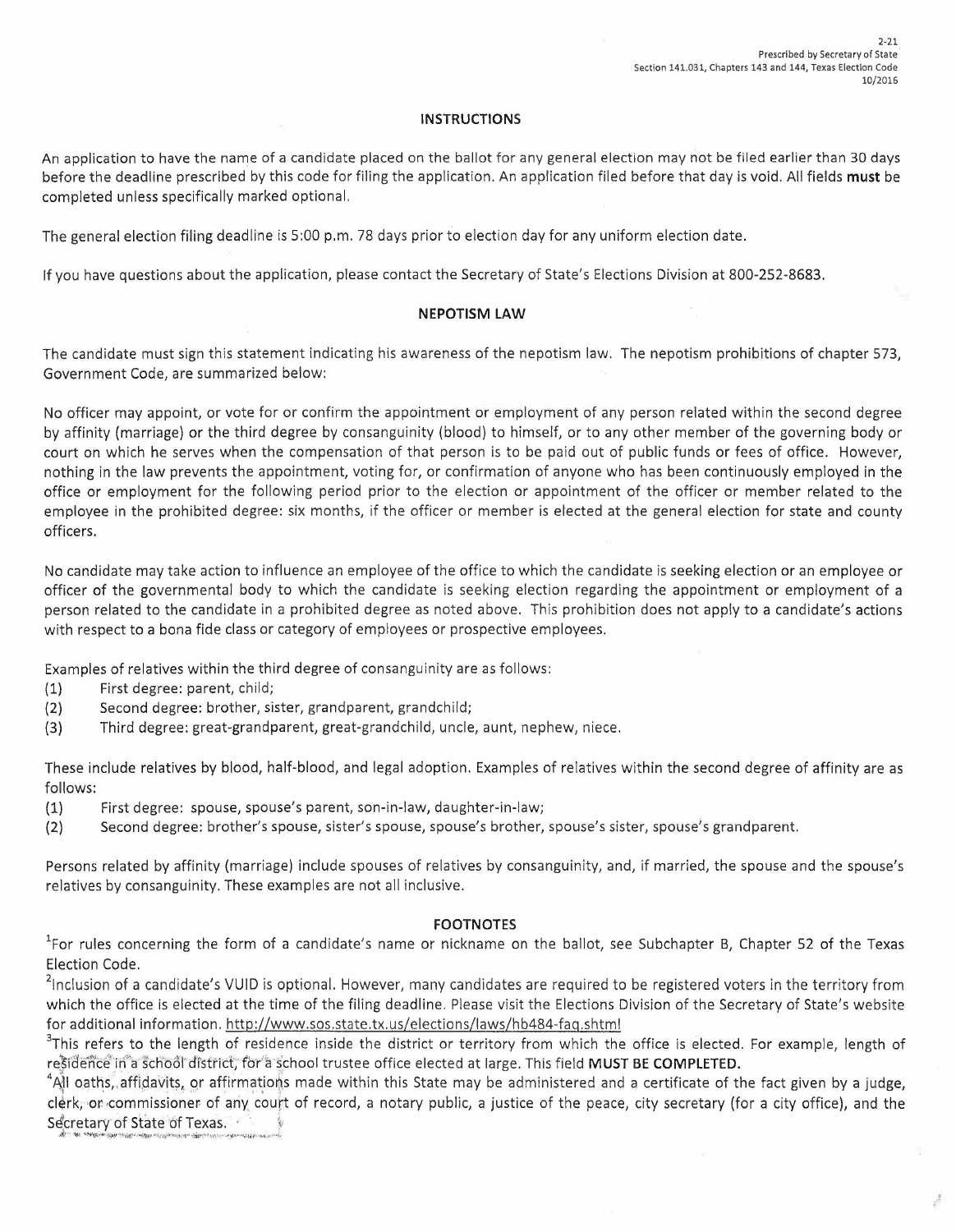#### **INSTRUCTIONS**

An application to have the name of a candidate placed on the ballot for any general election may not be filed earlier than 30 days before the deadline prescribed by this code for filing the application. An application filed before that day is void. All fields **must** be completed unless specifically marked optional.

The general election filing deadline is 5:00 p.m. 78 days prior to election day for any uniform election date.

If you have questions about the application, please contact the Secretary of State's Elections Division at 800-252-8683.

### **NEPOTISM LAW**

The candidate must sign this statement indicating his awareness of the nepotism law. The nepotism prohibitions of chapter 573, Government Code, are summarized below:

No officer may appoint, or vote for or confirm the appointment or employment of any person related within the second degree by affinity (marriage) or the third degree by consanguinity (blood) to himself, or to any other member of the governing body or court on which he serves when the compensation of that person is to be paid out of public funds or fees of office. However, nothing in the law prevents the appointment, voting for, or confirmation of anyone who has been continuously employed in the office or employment for the following period prior to the election or appointment of the officer or member related to the employee in the prohibited degree: six months, if the officer or member is elected at the general election for state and county officers.

No candidate may take action to influence an employee of the office to which the candidate is seeking election or an employee or officer of the governmental body to which the candidate is seeking election regarding the appointment or employment of a person related to the candidate in a prohibited degree as noted above. This prohibition does not apply to a candidate's actions with respect to a bona fide class or category of employees or prospective employees.

Examples of relatives within the third degree of consanguinity are as follows:

- (1) First degree: parent, child;
- (2) Second degree: brother, sister, grandparent, grandchild;
- (3) Third degree: great-grandparent, great-grandchild, uncle, aunt, nephew, niece.

These include relatives by blood, half-blood, and legal adoption. Examples of relatives within the second degree of affinity are as follows:

- (1) First degree: spouse, spouse's parent, son-in-law, daughter-in-law;
- (2) Second degree: brother's spouse, sister's spouse, spouse's brother, spouse's sister, spouse's grandparent.

Persons related by affinity (marriage) include spouses of relatives by consanguinity, and, if married, the spouse and the spouse's relatives by consanguinity. These examples are not all inclusive.

#### **FOOTNOTES**

<sup>1</sup>For rules concerning the form of a candidate's name or nickname on the ballot, see Subchapter B, Chapter 52 of the Texas Election Code.

 $^2$ Inclusion of a candidate's VUID is optional. However, many candidates are required to be registered voters in the territory from which the office is elected at the time of the filing deadline. Please visit the Elections Division of the Secretary of State's website for additional information. http://www.sos.state.tx.us/elections/laws/hb484-faq.shtml

<sup>3</sup>This refers to the length of residence inside the district or territory from which the office is elected. For example, length of residence in a school district, for a school trustee office elected at large. This field MUST BE COMPLETED.

4 esidence in a school district, for a school trustee office elected at large. This field **MUST BE COMPLETED.**<br>All oaths, affidavits, or affirmations made within this State may be administered and a certificate of the fact g clerk, or commissioner of any court of record, a notary public, a justice of the peace, city secretary (for a city office), and the Secretary of State of Texas. *is a creature of Texas.*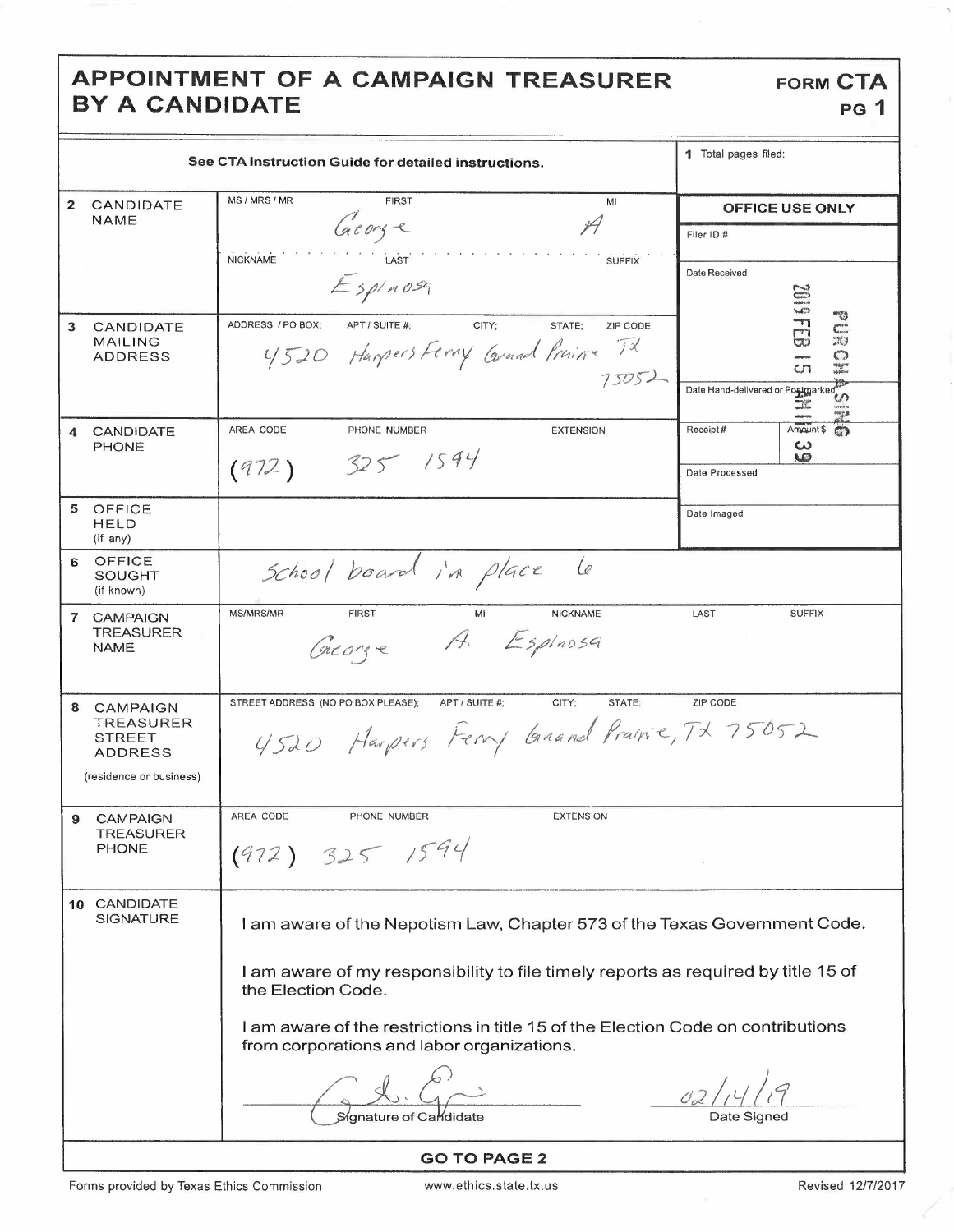## APPOINTMENT OF A CAMPAIGN TREASURER BY A CANDIDATE

|              | See CTA Instruction Guide for detailed instructions.                                | 1 Total pages filed:                                                                                                                                                                                                                                                                                                                             |                                                                                                                                                                                                  |  |  |  |
|--------------|-------------------------------------------------------------------------------------|--------------------------------------------------------------------------------------------------------------------------------------------------------------------------------------------------------------------------------------------------------------------------------------------------------------------------------------------------|--------------------------------------------------------------------------------------------------------------------------------------------------------------------------------------------------|--|--|--|
| $\mathbf{z}$ | CANDIDATE<br>NAME                                                                   | MS / MRS / MR<br><b>FIRST</b><br>MI<br>George<br>NICKNAME<br><b>SUFFIX</b><br>LAST<br>$E$ spinosq                                                                                                                                                                                                                                                | <b>OFFICE USE ONLY</b><br>Filer ID #<br>Date Received                                                                                                                                            |  |  |  |
| 3            | CANDIDATE<br><b>MAILING</b><br>ADDRESS                                              | ADDRESS / PO BOX;<br>APT / SUITE #:<br>CITY;<br>STATE:<br>ZIP CODE<br>4520 Harpers Ferry Carnel Private TX<br>75052                                                                                                                                                                                                                              | <b>20116102</b><br>-43<br>$\zeta^{\rm{max}}_{\rm{area}}$<br>$\mathbb{H}$<br>O<br><b>Magne</b><br>Maddoor<br>cл<br>Date Hand-delivered or Postmarked<br>ഗ<br><b>The Second</b><br>uncan<br>ringan |  |  |  |
| 4            | <b>CANDIDATE</b><br><b>PHONE</b>                                                    | AREA CODE<br>PHONE NUMBER<br><b>EXTENSION</b><br>325 / 1594<br>(972)                                                                                                                                                                                                                                                                             | Amount \$<br>Receipt#<br>$\mathbb{C}$<br>سه<br>w<br>Date Processed                                                                                                                               |  |  |  |
|              | 5 OFFICE<br><b>HELD</b><br>(if any)                                                 |                                                                                                                                                                                                                                                                                                                                                  | Date Imaged                                                                                                                                                                                      |  |  |  |
| 6            | OFFICE<br>SOUGHT<br>(if known)                                                      | School board in place<br>le                                                                                                                                                                                                                                                                                                                      |                                                                                                                                                                                                  |  |  |  |
| $\mathbf{7}$ | <b>CAMPAIGN</b><br><b>TREASURER</b><br><b>NAME</b>                                  | <b>MS/MRS/MR</b><br><b>NICKNAME</b><br><b>FIRST</b><br>Mi<br>$A.$ Espinosa<br>Greorge                                                                                                                                                                                                                                                            | LAST<br><b>SUFFIX</b>                                                                                                                                                                            |  |  |  |
| 8            | CAMPAIGN<br>TREASURER<br><b>STREET</b><br><b>ADDRESS</b><br>(residence or business) | STREET ADDRESS (NO PO BOX PLEASE);<br>APT / SUITE #;<br>CITY:<br>STATE;<br>4520 Harpers Ferry Grand Prairie, TX 75052                                                                                                                                                                                                                            | ZIP CODE                                                                                                                                                                                         |  |  |  |
| 9            | <b>CAMPAIGN</b><br>TREASURER<br><b>PHONE</b>                                        | AREA CODE<br>PHONE NUMBER<br><b>EXTENSION</b><br>(972) 325 1594                                                                                                                                                                                                                                                                                  |                                                                                                                                                                                                  |  |  |  |
|              | 10 CANDIDATE<br>SIGNATURE                                                           | I am aware of the Nepotism Law, Chapter 573 of the Texas Government Code.<br>I am aware of my responsibility to file timely reports as required by title 15 of<br>the Election Code.<br>I am aware of the restrictions in title 15 of the Election Code on contributions<br>from corporations and labor organizations.<br>Signature of Cardidate | Date Signed                                                                                                                                                                                      |  |  |  |
|              | <b>GO TO PAGE 2</b>                                                                 |                                                                                                                                                                                                                                                                                                                                                  |                                                                                                                                                                                                  |  |  |  |

**FORM CTA** 

**PG 1**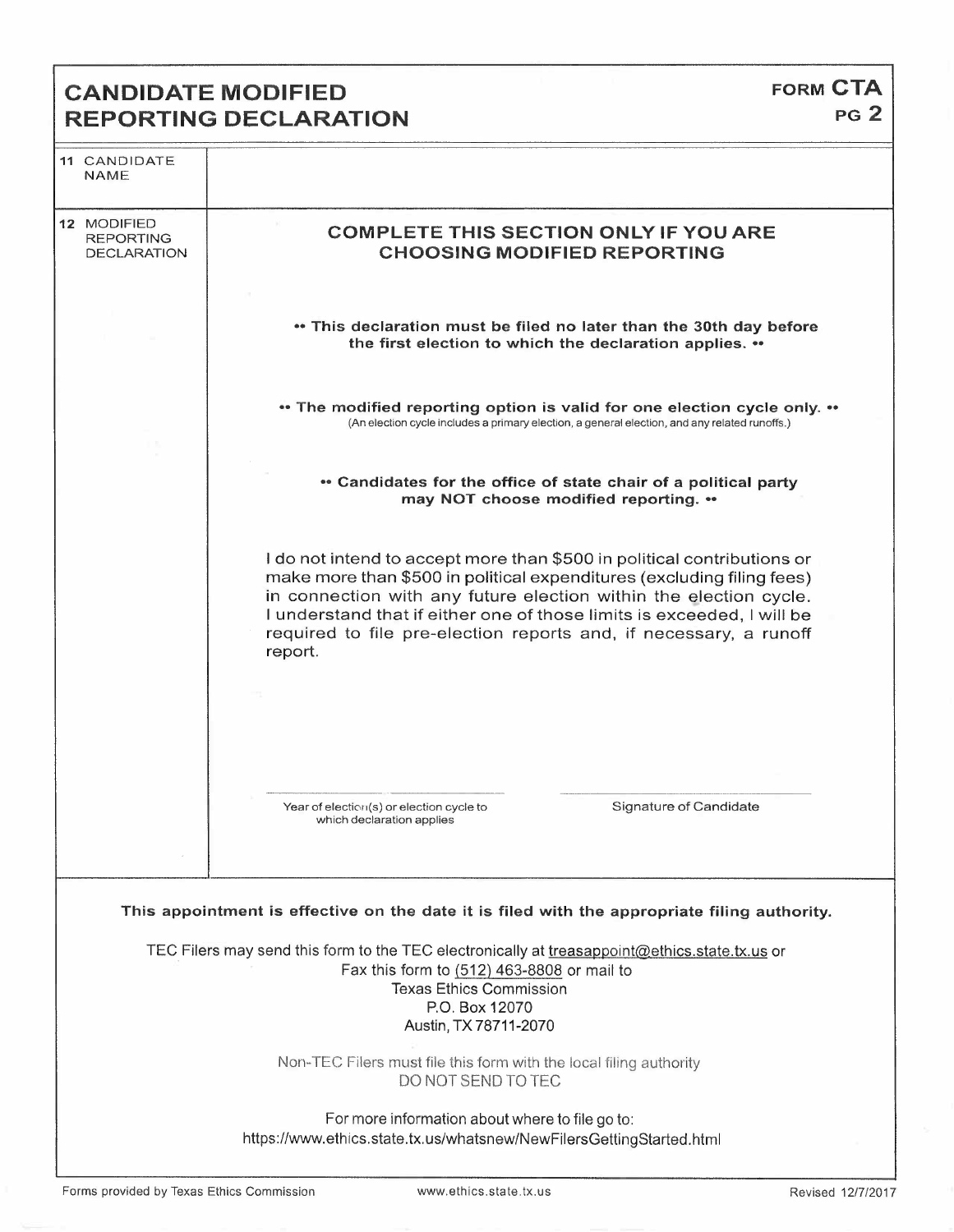## **CANDIDATE MODIFIED REPORTING DECLARATION**

| 11 CANDIDATE<br><b>NAME</b>                           |                                                                                                                                                                                                                                                                                                                                                                                  |
|-------------------------------------------------------|----------------------------------------------------------------------------------------------------------------------------------------------------------------------------------------------------------------------------------------------------------------------------------------------------------------------------------------------------------------------------------|
| 12 MODIFIED<br><b>REPORTING</b><br><b>DECLARATION</b> | <b>COMPLETE THIS SECTION ONLY IF YOU ARE</b><br><b>CHOOSING MODIFIED REPORTING</b>                                                                                                                                                                                                                                                                                               |
|                                                       | . This declaration must be filed no later than the 30th day before<br>the first election to which the declaration applies. ••                                                                                                                                                                                                                                                    |
|                                                       | • The modified reporting option is valid for one election cycle only. ••<br>(An election cycle includes a primary election, a general election, and any related runoffs.)                                                                                                                                                                                                        |
|                                                       | • Candidates for the office of state chair of a political party<br>may NOT choose modified reporting. ••                                                                                                                                                                                                                                                                         |
|                                                       | I do not intend to accept more than \$500 in political contributions or<br>make more than \$500 in political expenditures (excluding filing fees)<br>in connection with any future election within the election cycle.<br>I understand that if either one of those limits is exceeded, I will be<br>required to file pre-election reports and, if necessary, a runoff<br>report. |
|                                                       | Signature of Candidate<br>Year of election(s) or election cycle to<br>which declaration applies                                                                                                                                                                                                                                                                                  |
|                                                       | This appointment is effective on the date it is filed with the appropriate filing authority.                                                                                                                                                                                                                                                                                     |
|                                                       | TEC Filers may send this form to the TEC electronically at treasappoint@ethics.state.tx.us or<br>Fax this form to (512) 463-8808 or mail to<br><b>Texas Ethics Commission</b><br>P.O. Box 12070<br>Austin, TX 78711-2070                                                                                                                                                         |
|                                                       | Non-TEC Filers must file this form with the local filing authority<br>DO NOT SEND TO TEC                                                                                                                                                                                                                                                                                         |
|                                                       | For more information about where to file go to:<br>https://www.ethics.state.tx.us/whatsnew/NewFilersGettingStarted.html                                                                                                                                                                                                                                                          |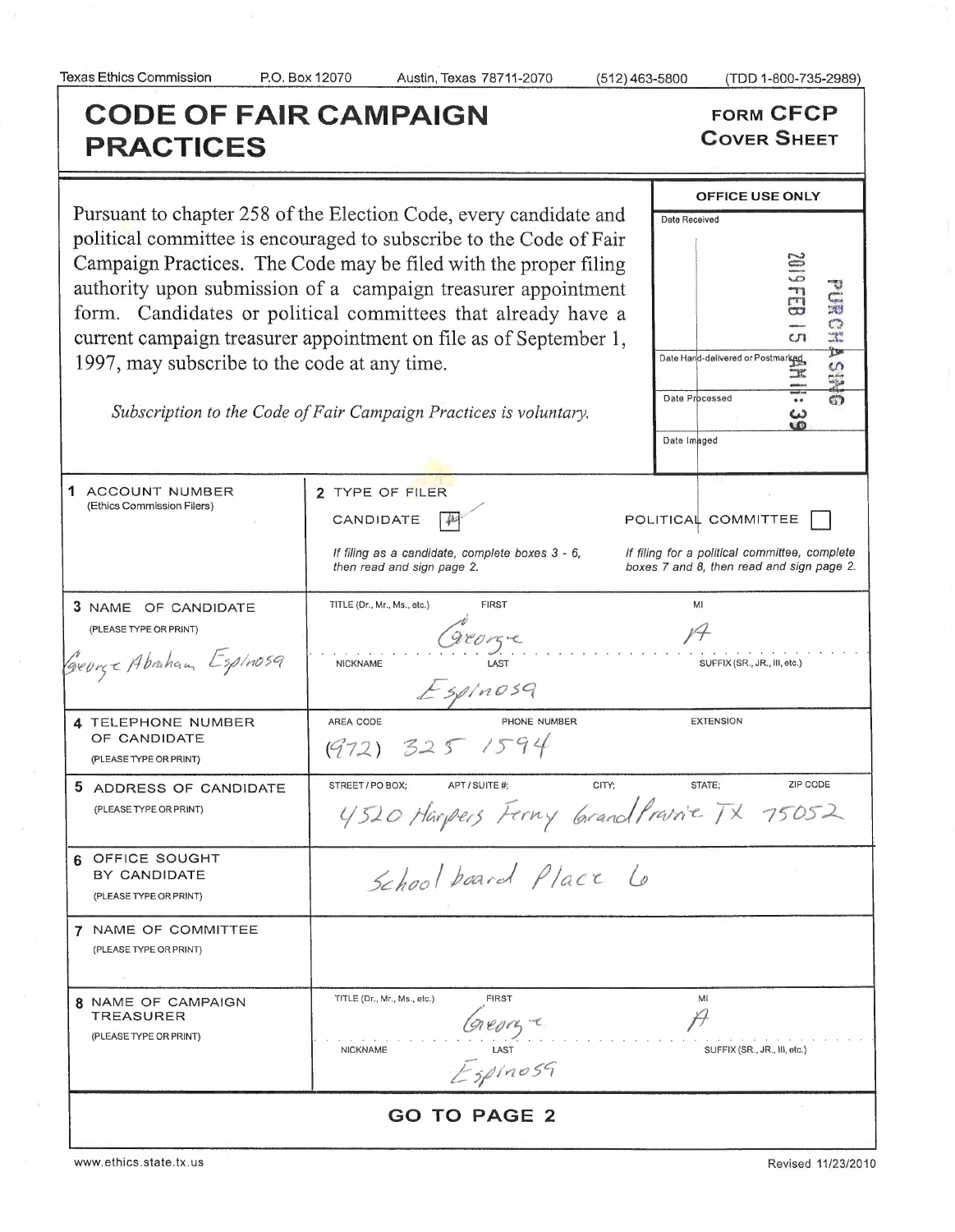(TDD 1-800-735-2989)

8336102

 $\frac{1}{\sqrt{1}}$ 

 $\frac{3}{5}$ 

**PURCER** 

SHIST

# **CODE OF FAIR CAMPAIGN PRACTICES**

**FORM CFCP COVER SHEET** 

OFFICE USE ONLY

Date Hand-delivered or Postmarked

Date Processed

Date Imaged

Date Received

Pursuant to chapter 258 of the Election Code, every candidate and political committee is encouraged to subscribe to the Code of Fair Campaign Practices. The Code may be filed with the proper filing authority upon submission of a campaign treasurer appointment form. Candidates or political committees that already have a current campaign treasurer appointment on file as of September 1, 1997, may subscribe to the code at any time.

Subscription to the Code of Fair Campaign Practices is voluntary.

| 1 ACCOUNT NUMBER<br>(Ethics Commission Filers)                           | 2 TYPE OF FILER<br>CANDIDATE<br>POLITICAL COMMITTEE<br>If filing for a political committee, complete<br>If filing as a candidate, complete boxes 3 - 6,<br>then read and sign page 2.<br>boxes 7 and 8, then read and sign page 2. |  |  |
|--------------------------------------------------------------------------|------------------------------------------------------------------------------------------------------------------------------------------------------------------------------------------------------------------------------------|--|--|
| 3 NAME OF CANDIDATE<br>(PLEASE TYPE OR PRINT)<br>George Abraham Espinosa | MI<br>TITLE (Dr., Mr., Ms., etc.)<br><b>FIRST</b><br>gronge<br><b>NICKNAME</b><br>SUFFIX (SR., JR., III, etc.)<br>ESpinosq                                                                                                         |  |  |
| 4 TELEPHONE NUMBER<br>OF CANDIDATE<br>(PLEASE TYPE OR PRINT)             | AREA CODE<br>PHONE NUMBER<br><b>EXTENSION</b><br>(972) 325 1594                                                                                                                                                                    |  |  |
| 5 ADDRESS OF CANDIDATE<br>(PLEASE TYPE OR PRINT)                         | ZIP CODE<br>CITY:<br>STATE:<br>STREET / PO BOX;<br>APT / SUITE #:<br>4520 Harpers Ferny GrandPravice TX 75052                                                                                                                      |  |  |
| 6 OFFICE SOUGHT<br>BY CANDIDATE<br>(PLEASE TYPE OR PRINT)                | School board Place Lo                                                                                                                                                                                                              |  |  |
| 7 NAME OF COMMITTEE<br>(PLEASE TYPE OR PRINT)                            |                                                                                                                                                                                                                                    |  |  |
| 8 NAME OF CAMPAIGN<br><b>TREASURER</b><br>(PLEASE TYPE OR PRINT)         | TITLE (Dr., Mr., Ms., etc.)<br><b>FIRST</b><br>MI<br>Greory e<br>$E$ <sub>1457</sub><br><b>NICKNAME</b><br>SUFFIX (SR., JR., III, etc.)                                                                                            |  |  |
| <b>GO TO PAGE 2</b>                                                      |                                                                                                                                                                                                                                    |  |  |

www.ethics.state.tx.us

Revised 11/23/2010